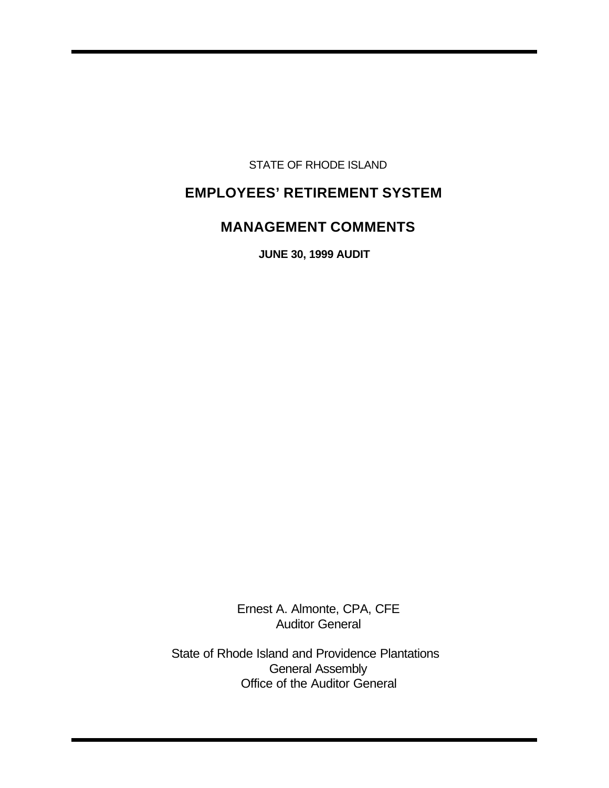STATE OF RHODE ISLAND

# **EMPLOYEES' RETIREMENT SYSTEM**

# **MANAGEMENT COMMENTS**

**JUNE 30, 1999 AUDIT** 

Ernest A. Almonte, CPA, CFE Auditor General

State of Rhode Island and Providence Plantations General Assembly Office of the Auditor General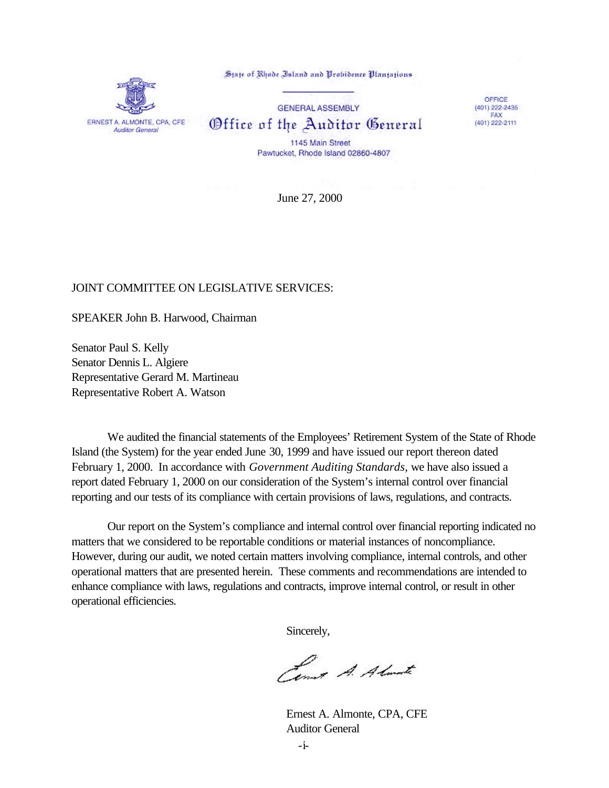ERNEST A. ALMONTE, CPA, CFE **Auditor General** 

State of Rhode Island and Probidence Plantations

**GENERAL ASSEMBLY** Office of the Auditor General 1145 Main Street

OFFICE  $(401)$  222-2435 FAX<br>(401) 222-2111

Pawtucket, Rhode Island 02860-4807

June 27, 2000

#### JOINT COMMITTEE ON LEGISLATIVE SERVICES:

SPEAKER John B. Harwood, Chairman

Senator Paul S. Kelly Senator Dennis L. Algiere Representative Gerard M. Martineau Representative Robert A. Watson

We audited the financial statements of the Employees' Retirement System of the State of Rhode Island (the System) for the year ended June 30, 1999 and have issued our report thereon dated February 1, 2000. In accordance with *Government Auditing Standards*, we have also issued a report dated February 1, 2000 on our consideration of the System's internal control over financial reporting and our tests of its compliance with certain provisions of laws, regulations, and contracts.

Our report on the System's compliance and internal control over financial reporting indicated no matters that we considered to be reportable conditions or material instances of noncompliance. However, during our audit, we noted certain matters involving compliance, internal controls, and other operational matters that are presented herein. These comments and recommendations are intended to enhance compliance with laws, regulations and contracts, improve internal control, or result in other operational efficiencies.

Sincerely,

Cent A. Almate

Ernest A. Almonte, CPA, CFE Auditor General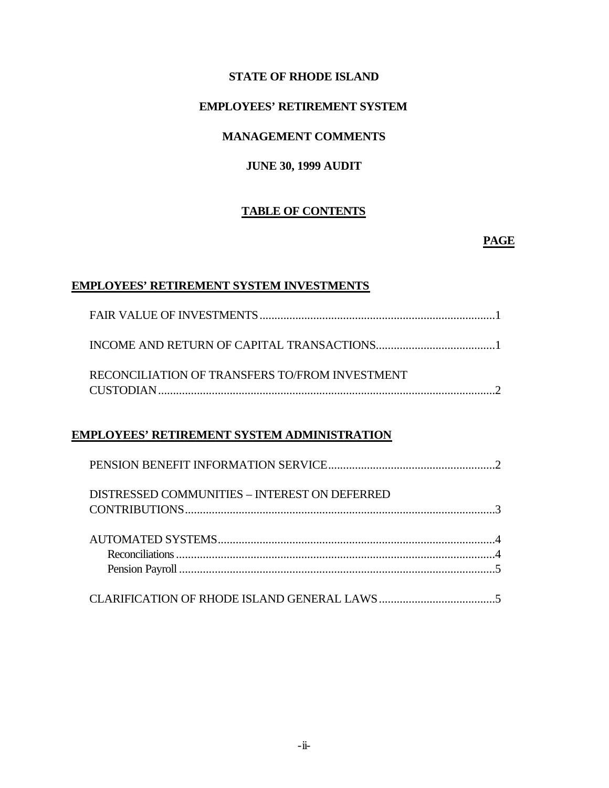## **STATE OF RHODE ISLAND**

## **EMPLOYEES' RETIREMENT SYSTEM**

# **MANAGEMENT COMMENTS**

# **JUNE 30, 1999 AUDIT**

## **TABLE OF CONTENTS**

#### **PAGE**

#### **EMPLOYEES' RETIREMENT SYSTEM INVESTMENTS**

| RECONCILIATION OF TRANSFERS TO/FROM INVESTMENT |
|------------------------------------------------|
|                                                |

# **EMPLOYEES' RETIREMENT SYSTEM ADMINISTRATION**

| DISTRESSED COMMUNITIES - INTEREST ON DEFERRED |  |
|-----------------------------------------------|--|
|                                               |  |
|                                               |  |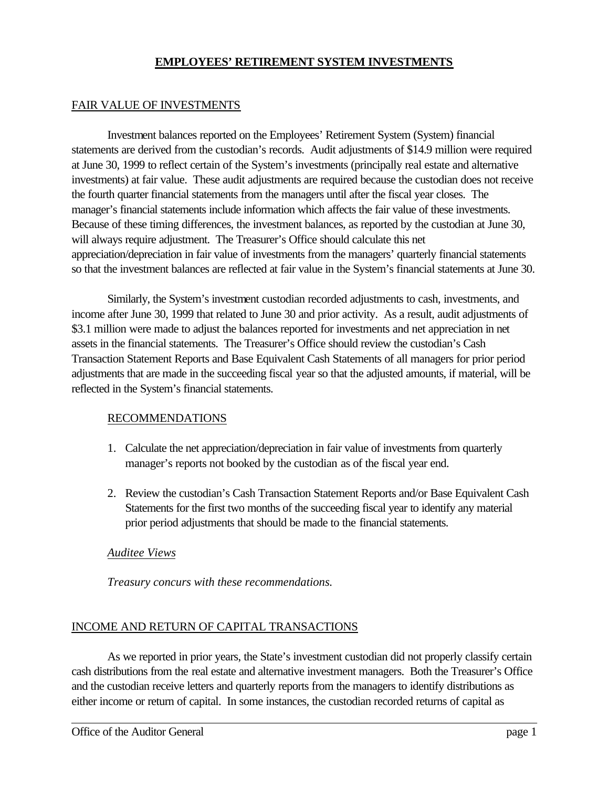#### **EMPLOYEES' RETIREMENT SYSTEM INVESTMENTS**

## FAIR VALUE OF INVESTMENTS

Investment balances reported on the Employees' Retirement System (System) financial statements are derived from the custodian's records. Audit adjustments of \$14.9 million were required at June 30, 1999 to reflect certain of the System's investments (principally real estate and alternative investments) at fair value. These audit adjustments are required because the custodian does not receive the fourth quarter financial statements from the managers until after the fiscal year closes. The manager's financial statements include information which affects the fair value of these investments. Because of these timing differences, the investment balances, as reported by the custodian at June 30, will always require adjustment. The Treasurer's Office should calculate this net appreciation/depreciation in fair value of investments from the managers' quarterly financial statements so that the investment balances are reflected at fair value in the System's financial statements at June 30.

Similarly, the System's investment custodian recorded adjustments to cash, investments, and income after June 30, 1999 that related to June 30 and prior activity. As a result, audit adjustments of \$3.1 million were made to adjust the balances reported for investments and net appreciation in net assets in the financial statements. The Treasurer's Office should review the custodian's Cash Transaction Statement Reports and Base Equivalent Cash Statements of all managers for prior period adjustments that are made in the succeeding fiscal year so that the adjusted amounts, if material, will be reflected in the System's financial statements.

## RECOMMENDATIONS

- 1. Calculate the net appreciation/depreciation in fair value of investments from quarterly manager's reports not booked by the custodian as of the fiscal year end.
- 2. Review the custodian's Cash Transaction Statement Reports and/or Base Equivalent Cash Statements for the first two months of the succeeding fiscal year to identify any material prior period adjustments that should be made to the financial statements.

## *Auditee Views*

*Treasury concurs with these recommendations.*

#### INCOME AND RETURN OF CAPITAL TRANSACTIONS

As we reported in prior years, the State's investment custodian did not properly classify certain cash distributions from the real estate and alternative investment managers. Both the Treasurer's Office and the custodian receive letters and quarterly reports from the managers to identify distributions as either income or return of capital. In some instances, the custodian recorded returns of capital as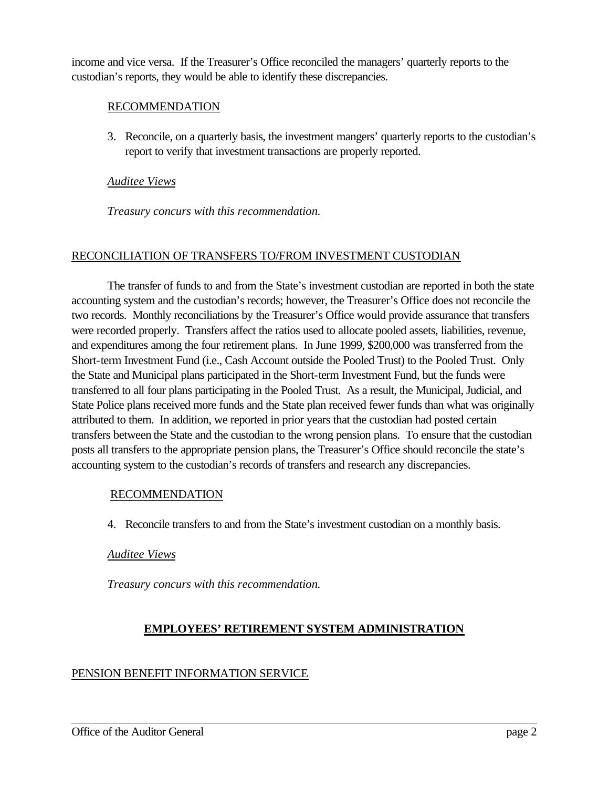income and vice versa. If the Treasurer's Office reconciled the managers' quarterly reports to the custodian's reports, they would be able to identify these discrepancies.

## RECOMMENDATION

3. Reconcile, on a quarterly basis, the investment mangers' quarterly reports to the custodian's report to verify that investment transactions are properly reported.

#### *Auditee Views*

*Treasury concurs with this recommendation.*

#### RECONCILIATION OF TRANSFERS TO/FROM INVESTMENT CUSTODIAN

The transfer of funds to and from the State's investment custodian are reported in both the state accounting system and the custodian's records; however, the Treasurer's Office does not reconcile the two records. Monthly reconciliations by the Treasurer's Office would provide assurance that transfers were recorded properly. Transfers affect the ratios used to allocate pooled assets, liabilities, revenue, and expenditures among the four retirement plans. In June 1999, \$200,000 was transferred from the Short-term Investment Fund (i.e., Cash Account outside the Pooled Trust) to the Pooled Trust. Only the State and Municipal plans participated in the Short-term Investment Fund, but the funds were transferred to all four plans participating in the Pooled Trust. As a result, the Municipal, Judicial, and State Police plans received more funds and the State plan received fewer funds than what was originally attributed to them. In addition, we reported in prior years that the custodian had posted certain transfers between the State and the custodian to the wrong pension plans. To ensure that the custodian posts all transfers to the appropriate pension plans, the Treasurer's Office should reconcile the state's accounting system to the custodian's records of transfers and research any discrepancies.

#### RECOMMENDATION

4. Reconcile transfers to and from the State's investment custodian on a monthly basis.

## *Auditee Views*

*Treasury concurs with this recommendation.*

## **EMPLOYEES' RETIREMENT SYSTEM ADMINISTRATION**

## PENSION BENEFIT INFORMATION SERVICE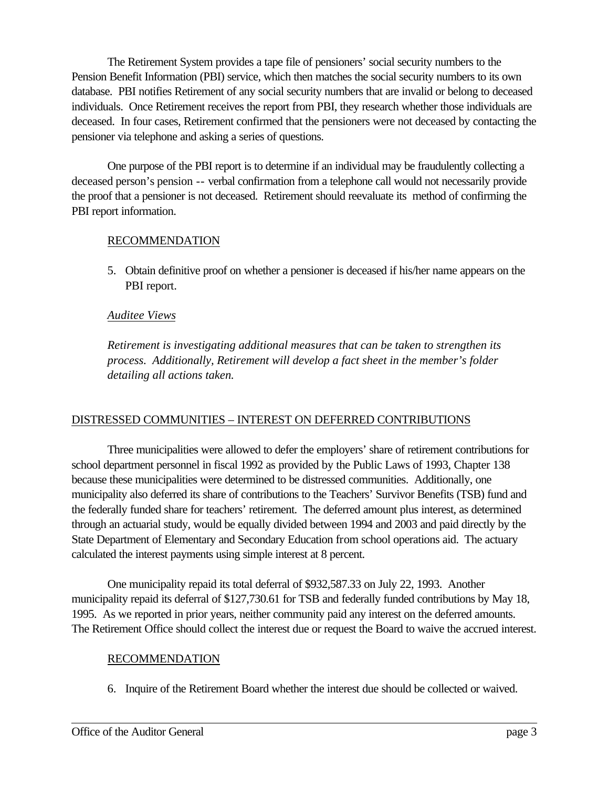The Retirement System provides a tape file of pensioners' social security numbers to the Pension Benefit Information (PBI) service, which then matches the social security numbers to its own database. PBI notifies Retirement of any social security numbers that are invalid or belong to deceased individuals. Once Retirement receives the report from PBI, they research whether those individuals are deceased. In four cases, Retirement confirmed that the pensioners were not deceased by contacting the pensioner via telephone and asking a series of questions.

One purpose of the PBI report is to determine if an individual may be fraudulently collecting a deceased person's pension -- verbal confirmation from a telephone call would not necessarily provide the proof that a pensioner is not deceased. Retirement should reevaluate its method of confirming the PBI report information.

## RECOMMENDATION

5. Obtain definitive proof on whether a pensioner is deceased if his/her name appears on the PBI report.

## *Auditee Views*

*Retirement is investigating additional measures that can be taken to strengthen its process. Additionally, Retirement will develop a fact sheet in the member's folder detailing all actions taken.*

## DISTRESSED COMMUNITIES – INTEREST ON DEFERRED CONTRIBUTIONS

Three municipalities were allowed to defer the employers' share of retirement contributions for school department personnel in fiscal 1992 as provided by the Public Laws of 1993, Chapter 138 because these municipalities were determined to be distressed communities. Additionally, one municipality also deferred its share of contributions to the Teachers' Survivor Benefits (TSB) fund and the federally funded share for teachers' retirement. The deferred amount plus interest, as determined through an actuarial study, would be equally divided between 1994 and 2003 and paid directly by the State Department of Elementary and Secondary Education from school operations aid. The actuary calculated the interest payments using simple interest at 8 percent.

One municipality repaid its total deferral of \$932,587.33 on July 22, 1993. Another municipality repaid its deferral of \$127,730.61 for TSB and federally funded contributions by May 18, 1995. As we reported in prior years, neither community paid any interest on the deferred amounts. The Retirement Office should collect the interest due or request the Board to waive the accrued interest.

## RECOMMENDATION

6. Inquire of the Retirement Board whether the interest due should be collected or waived.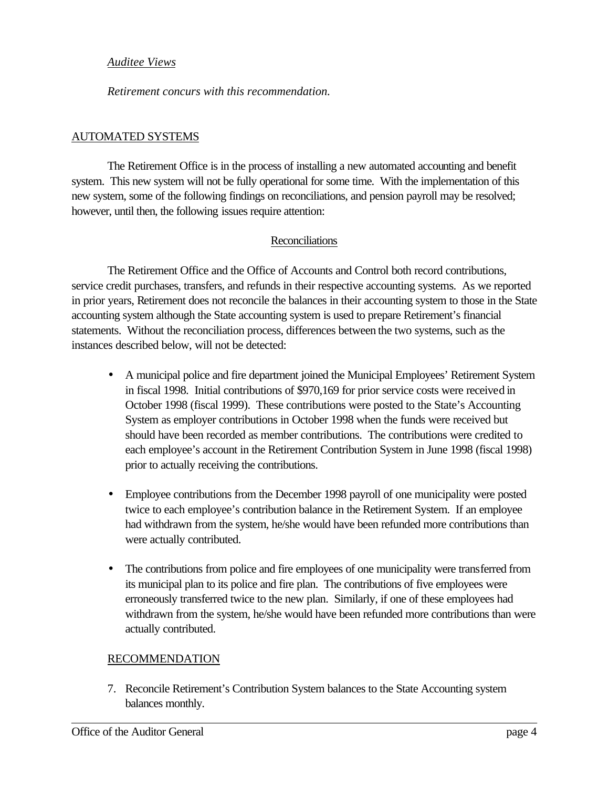#### *Auditee Views*

*Retirement concurs with this recommendation.*

## AUTOMATED SYSTEMS

The Retirement Office is in the process of installing a new automated accounting and benefit system. This new system will not be fully operational for some time. With the implementation of this new system, some of the following findings on reconciliations, and pension payroll may be resolved; however, until then, the following issues require attention:

## Reconciliations

The Retirement Office and the Office of Accounts and Control both record contributions, service credit purchases, transfers, and refunds in their respective accounting systems. As we reported in prior years, Retirement does not reconcile the balances in their accounting system to those in the State accounting system although the State accounting system is used to prepare Retirement's financial statements. Without the reconciliation process, differences between the two systems, such as the instances described below, will not be detected:

- A municipal police and fire department joined the Municipal Employees' Retirement System in fiscal 1998. Initial contributions of \$970,169 for prior service costs were received in October 1998 (fiscal 1999). These contributions were posted to the State's Accounting System as employer contributions in October 1998 when the funds were received but should have been recorded as member contributions. The contributions were credited to each employee's account in the Retirement Contribution System in June 1998 (fiscal 1998) prior to actually receiving the contributions.
- Employee contributions from the December 1998 payroll of one municipality were posted twice to each employee's contribution balance in the Retirement System. If an employee had withdrawn from the system, he/she would have been refunded more contributions than were actually contributed.
- The contributions from police and fire employees of one municipality were transferred from its municipal plan to its police and fire plan. The contributions of five employees were erroneously transferred twice to the new plan. Similarly, if one of these employees had withdrawn from the system, he/she would have been refunded more contributions than were actually contributed.

## RECOMMENDATION

7. Reconcile Retirement's Contribution System balances to the State Accounting system balances monthly.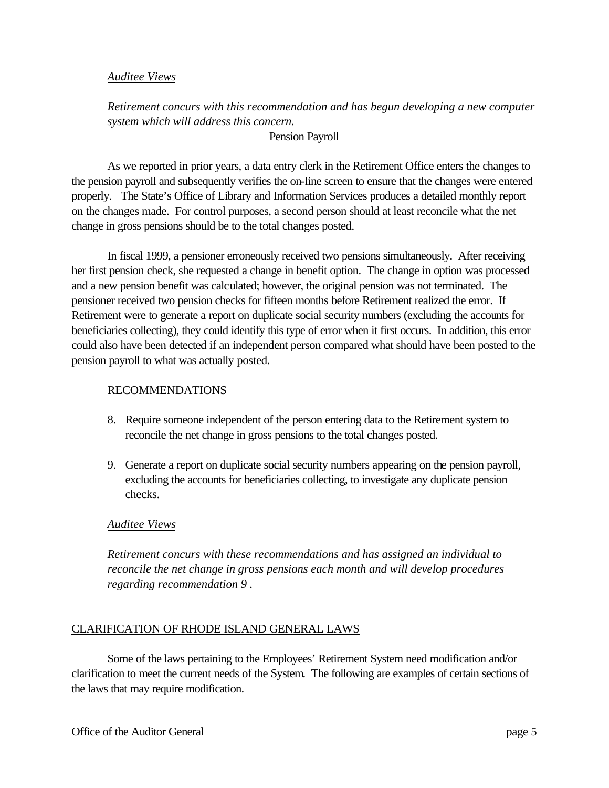#### *Auditee Views*

*Retirement concurs with this recommendation and has begun developing a new computer system which will address this concern.*

## Pension Payroll

As we reported in prior years, a data entry clerk in the Retirement Office enters the changes to the pension payroll and subsequently verifies the on-line screen to ensure that the changes were entered properly. The State's Office of Library and Information Services produces a detailed monthly report on the changes made. For control purposes, a second person should at least reconcile what the net change in gross pensions should be to the total changes posted.

In fiscal 1999, a pensioner erroneously received two pensions simultaneously. After receiving her first pension check, she requested a change in benefit option. The change in option was processed and a new pension benefit was calculated; however, the original pension was not terminated. The pensioner received two pension checks for fifteen months before Retirement realized the error. If Retirement were to generate a report on duplicate social security numbers (excluding the accounts for beneficiaries collecting), they could identify this type of error when it first occurs. In addition, this error could also have been detected if an independent person compared what should have been posted to the pension payroll to what was actually posted.

## RECOMMENDATIONS

- 8. Require someone independent of the person entering data to the Retirement system to reconcile the net change in gross pensions to the total changes posted.
- 9. Generate a report on duplicate social security numbers appearing on the pension payroll, excluding the accounts for beneficiaries collecting, to investigate any duplicate pension checks.

## *Auditee Views*

*Retirement concurs with these recommendations and has assigned an individual to reconcile the net change in gross pensions each month and will develop procedures regarding recommendation 9 .*

## CLARIFICATION OF RHODE ISLAND GENERAL LAWS

Some of the laws pertaining to the Employees' Retirement System need modification and/or clarification to meet the current needs of the System. The following are examples of certain sections of the laws that may require modification.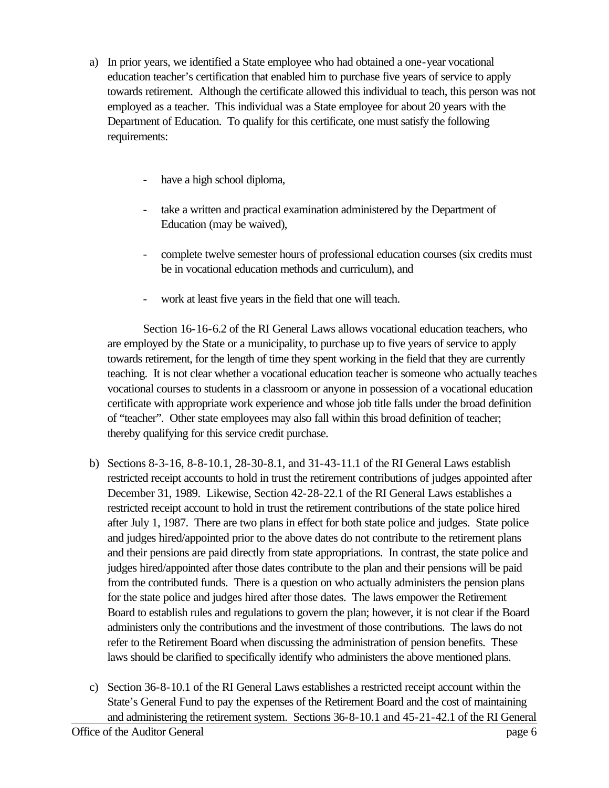- a) In prior years, we identified a State employee who had obtained a one-year vocational education teacher's certification that enabled him to purchase five years of service to apply towards retirement. Although the certificate allowed this individual to teach, this person was not employed as a teacher. This individual was a State employee for about 20 years with the Department of Education. To qualify for this certificate, one must satisfy the following requirements:
	- have a high school diploma,
	- take a written and practical examination administered by the Department of Education (may be waived),
	- complete twelve semester hours of professional education courses (six credits must be in vocational education methods and curriculum), and
	- work at least five years in the field that one will teach.

Section 16-16-6.2 of the RI General Laws allows vocational education teachers, who are employed by the State or a municipality, to purchase up to five years of service to apply towards retirement, for the length of time they spent working in the field that they are currently teaching. It is not clear whether a vocational education teacher is someone who actually teaches vocational courses to students in a classroom or anyone in possession of a vocational education certificate with appropriate work experience and whose job title falls under the broad definition of "teacher". Other state employees may also fall within this broad definition of teacher; thereby qualifying for this service credit purchase.

- b) Sections 8-3-16, 8-8-10.1, 28-30-8.1, and 31-43-11.1 of the RI General Laws establish restricted receipt accounts to hold in trust the retirement contributions of judges appointed after December 31, 1989. Likewise, Section 42-28-22.1 of the RI General Laws establishes a restricted receipt account to hold in trust the retirement contributions of the state police hired after July 1, 1987. There are two plans in effect for both state police and judges. State police and judges hired/appointed prior to the above dates do not contribute to the retirement plans and their pensions are paid directly from state appropriations. In contrast, the state police and judges hired/appointed after those dates contribute to the plan and their pensions will be paid from the contributed funds. There is a question on who actually administers the pension plans for the state police and judges hired after those dates. The laws empower the Retirement Board to establish rules and regulations to govern the plan; however, it is not clear if the Board administers only the contributions and the investment of those contributions. The laws do not refer to the Retirement Board when discussing the administration of pension benefits. These laws should be clarified to specifically identify who administers the above mentioned plans.
- c) Section 36-8-10.1 of the RI General Laws establishes a restricted receipt account within the State's General Fund to pay the expenses of the Retirement Board and the cost of maintaining and administering the retirement system. Sections 36-8-10.1 and 45-21-42.1 of the RI General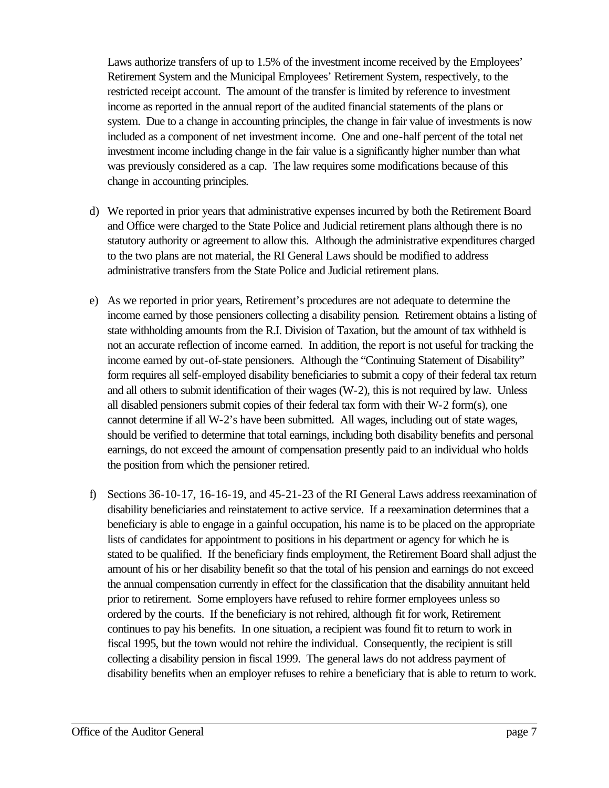Laws authorize transfers of up to 1.5% of the investment income received by the Employees' Retirement System and the Municipal Employees' Retirement System, respectively, to the restricted receipt account. The amount of the transfer is limited by reference to investment income as reported in the annual report of the audited financial statements of the plans or system. Due to a change in accounting principles, the change in fair value of investments is now included as a component of net investment income. One and one-half percent of the total net investment income including change in the fair value is a significantly higher number than what was previously considered as a cap. The law requires some modifications because of this change in accounting principles.

- d) We reported in prior years that administrative expenses incurred by both the Retirement Board and Office were charged to the State Police and Judicial retirement plans although there is no statutory authority or agreement to allow this. Although the administrative expenditures charged to the two plans are not material, the RI General Laws should be modified to address administrative transfers from the State Police and Judicial retirement plans.
- e) As we reported in prior years, Retirement's procedures are not adequate to determine the income earned by those pensioners collecting a disability pension. Retirement obtains a listing of state withholding amounts from the R.I. Division of Taxation, but the amount of tax withheld is not an accurate reflection of income earned. In addition, the report is not useful for tracking the income earned by out-of-state pensioners. Although the "Continuing Statement of Disability" form requires all self-employed disability beneficiaries to submit a copy of their federal tax return and all others to submit identification of their wages (W-2), this is not required by law. Unless all disabled pensioners submit copies of their federal tax form with their W-2 form(s), one cannot determine if all W-2's have been submitted. All wages, including out of state wages, should be verified to determine that total earnings, including both disability benefits and personal earnings, do not exceed the amount of compensation presently paid to an individual who holds the position from which the pensioner retired.
- f) Sections 36-10-17, 16-16-19, and 45-21-23 of the RI General Laws address reexamination of disability beneficiaries and reinstatement to active service. If a reexamination determines that a beneficiary is able to engage in a gainful occupation, his name is to be placed on the appropriate lists of candidates for appointment to positions in his department or agency for which he is stated to be qualified. If the beneficiary finds employment, the Retirement Board shall adjust the amount of his or her disability benefit so that the total of his pension and earnings do not exceed the annual compensation currently in effect for the classification that the disability annuitant held prior to retirement. Some employers have refused to rehire former employees unless so ordered by the courts. If the beneficiary is not rehired, although fit for work, Retirement continues to pay his benefits. In one situation, a recipient was found fit to return to work in fiscal 1995, but the town would not rehire the individual. Consequently, the recipient is still collecting a disability pension in fiscal 1999. The general laws do not address payment of disability benefits when an employer refuses to rehire a beneficiary that is able to return to work.